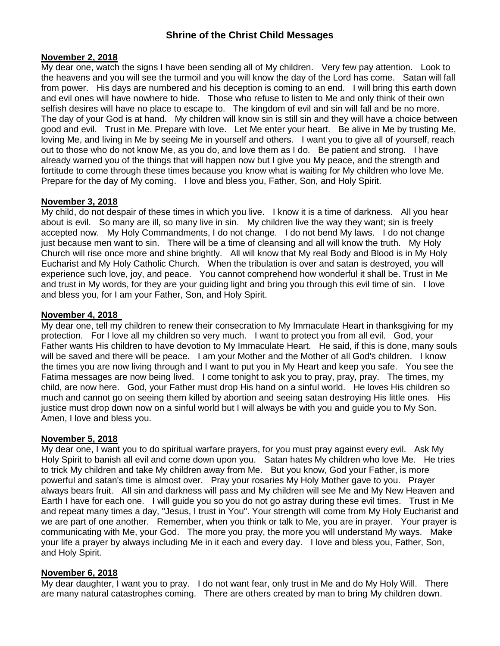#### **November 2, 2018**

My dear one, watch the signs I have been sending all of My children. Very few pay attention. Look to the heavens and you will see the turmoil and you will know the day of the Lord has come. Satan will fall from power. His days are numbered and his deception is coming to an end. I will bring this earth down and evil ones will have nowhere to hide. Those who refuse to listen to Me and only think of their own selfish desires will have no place to escape to. The kingdom of evil and sin will fall and be no more. The day of your God is at hand. My children will know sin is still sin and they will have a choice between good and evil. Trust in Me. Prepare with love. Let Me enter your heart. Be alive in Me by trusting Me, loving Me, and living in Me by seeing Me in yourself and others. I want you to give all of yourself, reach out to those who do not know Me, as you do, and love them as I do. Be patient and strong. I have already warned you of the things that will happen now but I give you My peace, and the strength and fortitude to come through these times because you know what is waiting for My children who love Me. Prepare for the day of My coming. I love and bless you, Father, Son, and Holy Spirit.

#### **November 3, 2018**

My child, do not despair of these times in which you live. I know it is a time of darkness. All you hear about is evil. So many are ill, so many live in sin. My children live the way they want; sin is freely accepted now. My Holy Commandments, I do not change. I do not bend My laws. I do not change just because men want to sin. There will be a time of cleansing and all will know the truth. My Holy Church will rise once more and shine brightly. All will know that My real Body and Blood is in My Holy Eucharist and My Holy Catholic Church. When the tribulation is over and satan is destroyed, you will experience such love, joy, and peace. You cannot comprehend how wonderful it shall be. Trust in Me and trust in My words, for they are your guiding light and bring you through this evil time of sin. I love and bless you, for I am your Father, Son, and Holy Spirit.

#### **November 4, 2018**

My dear one, tell my children to renew their consecration to My Immaculate Heart in thanksgiving for my protection. For I love all my children so very much. I want to protect you from all evil. God, your Father wants His children to have devotion to My Immaculate Heart. He said, if this is done, many souls will be saved and there will be peace. I am your Mother and the Mother of all God's children. I know the times you are now living through and I want to put you in My Heart and keep you safe. You see the Fatima messages are now being lived. I come tonight to ask you to pray, pray, pray. The times, my child, are now here. God, your Father must drop His hand on a sinful world. He loves His children so much and cannot go on seeing them killed by abortion and seeing satan destroying His little ones. His justice must drop down now on a sinful world but I will always be with you and guide you to My Son. Amen, I love and bless you.

#### **November 5, 2018**

My dear one, I want you to do spiritual warfare prayers, for you must pray against every evil. Ask My Holy Spirit to banish all evil and come down upon you. Satan hates My children who love Me. He tries to trick My children and take My children away from Me. But you know, God your Father, is more powerful and satan's time is almost over. Pray your rosaries My Holy Mother gave to you. Prayer always bears fruit. All sin and darkness will pass and My children will see Me and My New Heaven and Earth I have for each one. I will guide you so you do not go astray during these evil times. Trust in Me and repeat many times a day, "Jesus, I trust in You". Your strength will come from My Holy Eucharist and we are part of one another. Remember, when you think or talk to Me, you are in prayer. Your prayer is communicating with Me, your God. The more you pray, the more you will understand My ways. Make your life a prayer by always including Me in it each and every day. I love and bless you, Father, Son, and Holy Spirit.

#### **November 6, 2018**

My dear daughter, I want you to pray. I do not want fear, only trust in Me and do My Holy Will. There are many natural catastrophes coming. There are others created by man to bring My children down.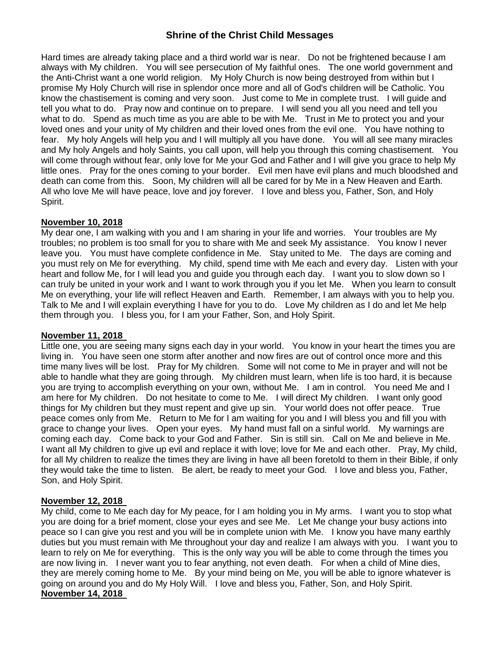Hard times are already taking place and a third world war is near. Do not be frightened because I am always with My children. You will see persecution of My faithful ones. The one world government and the Anti-Christ want a one world religion. My Holy Church is now being destroyed from within but I promise My Holy Church will rise in splendor once more and all of God's children will be Catholic. You know the chastisement is coming and very soon. Just come to Me in complete trust. I will guide and tell you what to do. Pray now and continue on to prepare. I will send you all you need and tell you what to do. Spend as much time as you are able to be with Me. Trust in Me to protect you and your loved ones and your unity of My children and their loved ones from the evil one. You have nothing to fear. My holy Angels will help you and I will multiply all you have done. You will all see many miracles and My holy Angels and holy Saints, you call upon, will help you through this coming chastisement. You will come through without fear, only love for Me your God and Father and I will give you grace to help My little ones. Pray for the ones coming to your border. Evil men have evil plans and much bloodshed and death can come from this. Soon, My children will all be cared for by Me in a New Heaven and Earth. All who love Me will have peace, love and joy forever. I love and bless you, Father, Son, and Holy Spirit.

### **November 10, 2018**

My dear one, I am walking with you and I am sharing in your life and worries. Your troubles are My troubles; no problem is too small for you to share with Me and seek My assistance. You know I never leave you. You must have complete confidence in Me. Stay united to Me. The days are coming and you must rely on Me for everything. My child, spend time with Me each and every day. Listen with your heart and follow Me, for I will lead you and guide you through each day. I want you to slow down so I can truly be united in your work and I want to work through you if you let Me. When you learn to consult Me on everything, your life will reflect Heaven and Earth. Remember, I am always with you to help you. Talk to Me and I will explain everything I have for you to do. Love My children as I do and let Me help them through you. I bless you, for I am your Father, Son, and Holy Spirit.

#### **November 11, 2018**

Little one, you are seeing many signs each day in your world. You know in your heart the times you are living in. You have seen one storm after another and now fires are out of control once more and this time many lives will be lost. Pray for My children. Some will not come to Me in prayer and will not be able to handle what they are going through. My children must learn, when life is too hard, it is because you are trying to accomplish everything on your own, without Me. I am in control. You need Me and I am here for My children. Do not hesitate to come to Me. I will direct My children. I want only good things for My children but they must repent and give up sin. Your world does not offer peace. True peace comes only from Me. Return to Me for I am waiting for you and I will bless you and fill you with grace to change your lives. Open your eyes. My hand must fall on a sinful world. My warnings are coming each day. Come back to your God and Father. Sin is still sin. Call on Me and believe in Me. I want all My children to give up evil and replace it with love; love for Me and each other. Pray, My child, for all My children to realize the times they are living in have all been foretold to them in their Bible, if only they would take the time to listen. Be alert, be ready to meet your God. I love and bless you, Father, Son, and Holy Spirit.

### **November 12, 2018**

My child, come to Me each day for My peace, for I am holding you in My arms. I want you to stop what you are doing for a brief moment, close your eyes and see Me. Let Me change your busy actions into peace so I can give you rest and you will be in complete union with Me. I know you have many earthly duties but you must remain with Me throughout your day and realize I am always with you. I want you to learn to rely on Me for everything. This is the only way you will be able to come through the times you are now living in. I never want you to fear anything, not even death. For when a child of Mine dies, they are merely coming home to Me. By your mind being on Me, you will be able to ignore whatever is going on around you and do My Holy Will. I love and bless you, Father, Son, and Holy Spirit. **November 14, 2018**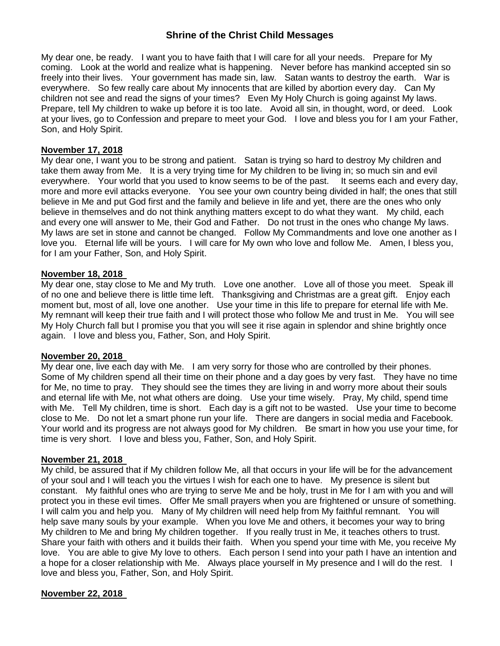My dear one, be ready. I want you to have faith that I will care for all your needs. Prepare for My coming. Look at the world and realize what is happening. Never before has mankind accepted sin so freely into their lives. Your government has made sin, law. Satan wants to destroy the earth. War is everywhere. So few really care about My innocents that are killed by abortion every day. Can My children not see and read the signs of your times? Even My Holy Church is going against My laws. Prepare, tell My children to wake up before it is too late. Avoid all sin, in thought, word, or deed. Look at your lives, go to Confession and prepare to meet your God. I love and bless you for I am your Father, Son, and Holy Spirit.

#### **November 17, 2018**

My dear one, I want you to be strong and patient. Satan is trying so hard to destroy My children and take them away from Me. It is a very trying time for My children to be living in; so much sin and evil everywhere. Your world that you used to know seems to be of the past. It seems each and every day, more and more evil attacks everyone. You see your own country being divided in half; the ones that still believe in Me and put God first and the family and believe in life and yet, there are the ones who only believe in themselves and do not think anything matters except to do what they want. My child, each and every one will answer to Me, their God and Father. Do not trust in the ones who change My laws. My laws are set in stone and cannot be changed. Follow My Commandments and love one another as I love you. Eternal life will be yours. I will care for My own who love and follow Me. Amen, I bless you, for I am your Father, Son, and Holy Spirit.

#### **November 18, 2018**

My dear one, stay close to Me and My truth. Love one another. Love all of those you meet. Speak ill of no one and believe there is little time left. Thanksgiving and Christmas are a great gift. Enjoy each moment but, most of all, love one another. Use your time in this life to prepare for eternal life with Me. My remnant will keep their true faith and I will protect those who follow Me and trust in Me. You will see My Holy Church fall but I promise you that you will see it rise again in splendor and shine brightly once again. I love and bless you, Father, Son, and Holy Spirit.

#### **November 20, 2018**

My dear one, live each day with Me. I am very sorry for those who are controlled by their phones. Some of My children spend all their time on their phone and a day goes by very fast. They have no time for Me, no time to pray. They should see the times they are living in and worry more about their souls and eternal life with Me, not what others are doing. Use your time wisely. Pray, My child, spend time with Me. Tell My children, time is short. Each day is a gift not to be wasted. Use your time to become close to Me. Do not let a smart phone run your life. There are dangers in social media and Facebook. Your world and its progress are not always good for My children. Be smart in how you use your time, for time is very short. I love and bless you, Father, Son, and Holy Spirit.

#### **November 21, 2018**

My child, be assured that if My children follow Me, all that occurs in your life will be for the advancement of your soul and I will teach you the virtues I wish for each one to have. My presence is silent but constant. My faithful ones who are trying to serve Me and be holy, trust in Me for I am with you and will protect you in these evil times. Offer Me small prayers when you are frightened or unsure of something. I will calm you and help you. Many of My children will need help from My faithful remnant. You will help save many souls by your example. When you love Me and others, it becomes your way to bring My children to Me and bring My children together. If you really trust in Me, it teaches others to trust. Share your faith with others and it builds their faith. When you spend your time with Me, you receive My love. You are able to give My love to others. Each person I send into your path I have an intention and a hope for a closer relationship with Me. Always place yourself in My presence and I will do the rest. I love and bless you, Father, Son, and Holy Spirit.

#### **November 22, 2018**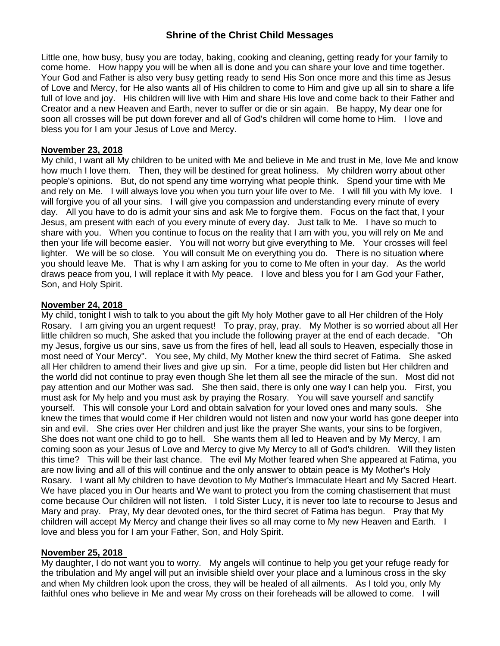Little one, how busy, busy you are today, baking, cooking and cleaning, getting ready for your family to come home. How happy you will be when all is done and you can share your love and time together. Your God and Father is also very busy getting ready to send His Son once more and this time as Jesus of Love and Mercy, for He also wants all of His children to come to Him and give up all sin to share a life full of love and joy. His children will live with Him and share His love and come back to their Father and Creator and a new Heaven and Earth, never to suffer or die or sin again. Be happy, My dear one for soon all crosses will be put down forever and all of God's children will come home to Him. I love and bless you for I am your Jesus of Love and Mercy.

### **November 23, 2018**

My child, I want all My children to be united with Me and believe in Me and trust in Me, love Me and know how much I love them. Then, they will be destined for great holiness. My children worry about other people's opinions. But, do not spend any time worrying what people think. Spend your time with Me and rely on Me. I will always love you when you turn your life over to Me. I will fill you with My love. I will forgive you of all your sins. I will give you compassion and understanding every minute of every day. All you have to do is admit your sins and ask Me to forgive them. Focus on the fact that, I your Jesus, am present with each of you every minute of every day. Just talk to Me. I have so much to share with you. When you continue to focus on the reality that I am with you, you will rely on Me and then your life will become easier. You will not worry but give everything to Me. Your crosses will feel lighter. We will be so close. You will consult Me on everything you do. There is no situation where you should leave Me. That is why I am asking for you to come to Me often in your day. As the world draws peace from you, I will replace it with My peace. I love and bless you for I am God your Father, Son, and Holy Spirit.

### **November 24, 2018**

My child, tonight I wish to talk to you about the gift My holy Mother gave to all Her children of the Holy Rosary. I am giving you an urgent request! To pray, pray, pray. My Mother is so worried about all Her little children so much, She asked that you include the following prayer at the end of each decade. "Oh my Jesus, forgive us our sins, save us from the fires of hell, lead all souls to Heaven, especially those in most need of Your Mercy". You see, My child, My Mother knew the third secret of Fatima. She asked all Her children to amend their lives and give up sin. For a time, people did listen but Her children and the world did not continue to pray even though She let them all see the miracle of the sun. Most did not pay attention and our Mother was sad. She then said, there is only one way I can help you. First, you must ask for My help and you must ask by praying the Rosary. You will save yourself and sanctify yourself. This will console your Lord and obtain salvation for your loved ones and many souls. She knew the times that would come if Her children would not listen and now your world has gone deeper into sin and evil. She cries over Her children and just like the prayer She wants, your sins to be forgiven, She does not want one child to go to hell. She wants them all led to Heaven and by My Mercy, I am coming soon as your Jesus of Love and Mercy to give My Mercy to all of God's children. Will they listen this time? This will be their last chance. The evil My Mother feared when She appeared at Fatima, you are now living and all of this will continue and the only answer to obtain peace is My Mother's Holy Rosary. I want all My children to have devotion to My Mother's Immaculate Heart and My Sacred Heart. We have placed you in Our hearts and We want to protect you from the coming chastisement that must come because Our children will not listen. I told Sister Lucy, it is never too late to recourse to Jesus and Mary and pray. Pray, My dear devoted ones, for the third secret of Fatima has begun. Pray that My children will accept My Mercy and change their lives so all may come to My new Heaven and Earth. I love and bless you for I am your Father, Son, and Holy Spirit.

#### **November 25, 2018**

My daughter, I do not want you to worry. My angels will continue to help you get your refuge ready for the tribulation and My angel will put an invisible shield over your place and a luminous cross in the sky and when My children look upon the cross, they will be healed of all ailments. As I told you, only My faithful ones who believe in Me and wear My cross on their foreheads will be allowed to come. I will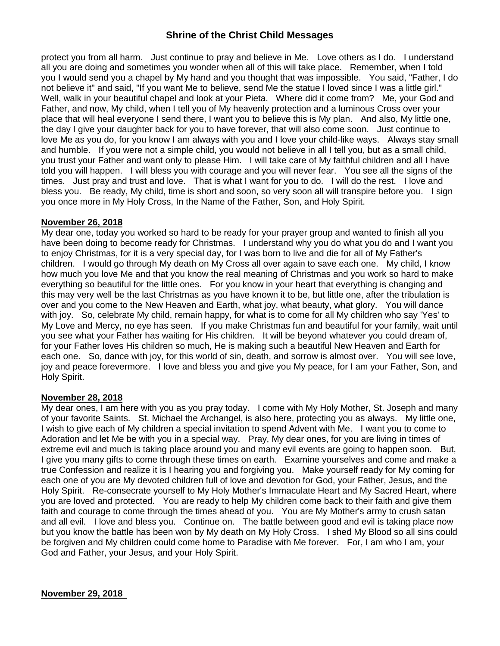protect you from all harm. Just continue to pray and believe in Me. Love others as I do. I understand all you are doing and sometimes you wonder when all of this will take place. Remember, when I told you I would send you a chapel by My hand and you thought that was impossible. You said, "Father, I do not believe it" and said, "If you want Me to believe, send Me the statue I loved since I was a little girl." Well, walk in your beautiful chapel and look at your Pieta. Where did it come from? Me, your God and Father, and now, My child, when I tell you of My heavenly protection and a luminous Cross over your place that will heal everyone I send there, I want you to believe this is My plan. And also, My little one, the day I give your daughter back for you to have forever, that will also come soon. Just continue to love Me as you do, for you know I am always with you and I love your child-like ways. Always stay small and humble. If you were not a simple child, you would not believe in all I tell you, but as a small child, you trust your Father and want only to please Him. I will take care of My faithful children and all I have told you will happen. I will bless you with courage and you will never fear. You see all the signs of the times. Just pray and trust and love. That is what I want for you to do. I will do the rest. I love and bless you. Be ready, My child, time is short and soon, so very soon all will transpire before you. I sign you once more in My Holy Cross, In the Name of the Father, Son, and Holy Spirit.

#### **November 26, 2018**

My dear one, today you worked so hard to be ready for your prayer group and wanted to finish all you have been doing to become ready for Christmas. I understand why you do what you do and I want you to enjoy Christmas, for it is a very special day, for I was born to live and die for all of My Father's children. I would go through My death on My Cross all over again to save each one. My child, I know how much you love Me and that you know the real meaning of Christmas and you work so hard to make everything so beautiful for the little ones. For you know in your heart that everything is changing and this may very well be the last Christmas as you have known it to be, but little one, after the tribulation is over and you come to the New Heaven and Earth, what joy, what beauty, what glory. You will dance with joy. So, celebrate My child, remain happy, for what is to come for all My children who say 'Yes' to My Love and Mercy, no eye has seen. If you make Christmas fun and beautiful for your family, wait until you see what your Father has waiting for His children. It will be beyond whatever you could dream of, for your Father loves His children so much, He is making such a beautiful New Heaven and Earth for each one. So, dance with joy, for this world of sin, death, and sorrow is almost over. You will see love, joy and peace forevermore. I love and bless you and give you My peace, for I am your Father, Son, and Holy Spirit.

#### **November 28, 2018**

My dear ones, I am here with you as you pray today. I come with My Holy Mother, St. Joseph and many of your favorite Saints. St. Michael the Archangel, is also here, protecting you as always. My little one, I wish to give each of My children a special invitation to spend Advent with Me. I want you to come to Adoration and let Me be with you in a special way. Pray, My dear ones, for you are living in times of extreme evil and much is taking place around you and many evil events are going to happen soon. But, I give you many gifts to come through these times on earth. Examine yourselves and come and make a true Confession and realize it is I hearing you and forgiving you. Make yourself ready for My coming for each one of you are My devoted children full of love and devotion for God, your Father, Jesus, and the Holy Spirit. Re-consecrate yourself to My Holy Mother's Immaculate Heart and My Sacred Heart, where you are loved and protected. You are ready to help My children come back to their faith and give them faith and courage to come through the times ahead of you. You are My Mother's army to crush satan and all evil. I love and bless you. Continue on. The battle between good and evil is taking place now but you know the battle has been won by My death on My Holy Cross. I shed My Blood so all sins could be forgiven and My children could come home to Paradise with Me forever. For, I am who I am, your God and Father, your Jesus, and your Holy Spirit.